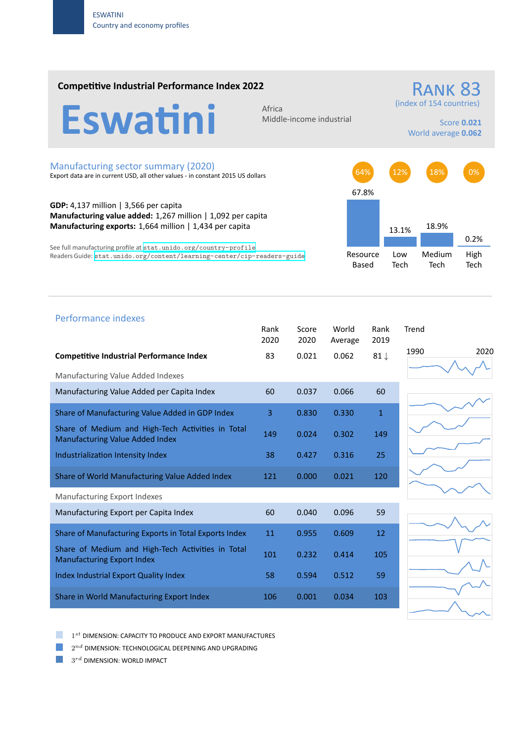### **Competitive Industrial Performance Index 2022**

Eswatini

Middle‐income industrial

# (index of 154 countries)

Score **0.021** World average **0.062**

RANK 83

#### Manufacturing sector summary (2020)

Export data are in current USD, all other values ‐ in constant 2015 US dollars

**GDP:** 4,137 million | 3,566 per capita **Manufacturing value added:** 1,267 million | 1,092 per capita **Manufacturing exports:** 1,664 million | 1,434 per capita

See full manufacturing profile at stat.unido.org/country-profile Readers Guide: stat.unido.org/content/learning-center/cip-readers-guide



## Performance indexes

|                                                                                        | Rank<br>2020 | Score<br>2020 | World<br>Average | Rank<br>2019    | Trend        |
|----------------------------------------------------------------------------------------|--------------|---------------|------------------|-----------------|--------------|
| <b>Competitive Industrial Performance Index</b>                                        | 83           | 0.021         | 0.062            | 81 $\downarrow$ | 1990<br>2020 |
| Manufacturing Value Added Indexes                                                      |              |               |                  |                 |              |
| Manufacturing Value Added per Capita Index                                             | 60           | 0.037         | 0.066            | 60              |              |
| Share of Manufacturing Value Added in GDP Index                                        | 3            | 0.830         | 0.330            | $\mathbf{1}$    |              |
| Share of Medium and High-Tech Activities in Total<br>Manufacturing Value Added Index   | 149          | 0.024         | 0.302            | 149             |              |
| Industrialization Intensity Index                                                      | 38           | 0.427         | 0.316            | 25              |              |
| Share of World Manufacturing Value Added Index                                         | 121          | 0.000         | 0.021            | 120             |              |
| Manufacturing Export Indexes                                                           |              |               |                  |                 |              |
| Manufacturing Export per Capita Index                                                  | 60           | 0.040         | 0.096            | 59              |              |
| Share of Manufacturing Exports in Total Exports Index                                  | 11           | 0.955         | 0.609            | 12              |              |
| Share of Medium and High-Tech Activities in Total<br><b>Manufacturing Export Index</b> | 101          | 0.232         | 0.414            | 105             |              |
| Index Industrial Export Quality Index                                                  | 58           | 0.594         | 0.512            | 59              |              |
| Share in World Manufacturing Export Index                                              | 106          | 0.001         | 0.034            | 103             |              |





1 *st* DIMENSION: CAPACITY TO PRODUCE AND EXPORT MANUFACTURES

 $2^{nd}$  DIMENSION: TECHNOLOGICAL DEEPENING AND UPGRADING

 $3^{rd}$  DIMENSION: WORLD IMPACT